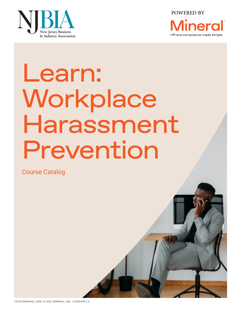

POWERED BY



# Learn: Workplace Harassment Prevention

Course Catalog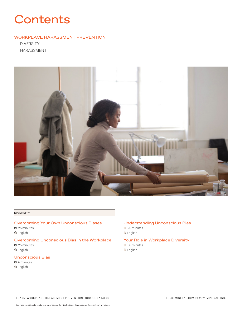# **Contents**

# WORKPLACE HARASSMENT PREVENTION

DIVERSITY HARASSMENT



#### **DIVERSITY**

# Overcoming Your Own Unconscious Biases 25 minutes  $\bigcirc$  English

Overcoming Unconscious Bias in the Workplace 25 minutes  $\bigcirc$  English

# Unconscious Bias

**6** 6 minutes  $\bigcirc$  English

# Understanding Unconscious Bias 25 minutes

 $\bigcirc$  English

#### Your Role in Workplace Diversity 36 minutes

 $\bigcirc$  English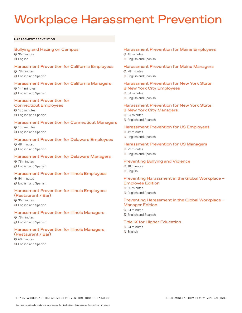# Workplace Harassment Prevention

#### **HARASSMENT PREVENTION**

#### Bullying and Hazing on Campus

36 minutes  $\Theta$  English

#### Harassment Prevention for California Employees

78 minutes

English and Spanish

#### Harassment Prevention for California Managers

**0 144 minutes** English and Spanish

#### Harassment Prevention for Connecticut Employees

126 minutes **D** English and Spanish

#### Harassment Prevention for Connecticut Managers

138 minutes English and Spanish

#### Harassment Prevention for Delaware Employees

48 minutes **O** English and Spanish

# Harassment Prevention for Delaware Managers

78 minutes **D** English and Spanish

#### Harassment Prevention for Illinois Employees

**34 minutes** English and Spanish

## Harassment Prevention for Illinois Employees (Restaurant / Bar)

36 minutes **D** English and Spanish

#### Harassment Prevention for Illinois Managers

78 minutes English and Spanish

# Harassment Prevention for Illinois Managers (Restaurant / Bar)

**60 minutes English and Spanish** 

#### Harassment Prevention for Maine Employees

48 minutes **O** English and Spanish

# Harassment Prevention for Maine Managers

78 minutes

**D** English and Spanish

#### Harassment Prevention for New York State & New York City Employees

**6** 54 minutes

English and Spanish

# Harassment Prevention for New York State

& New York City Managers

- **84 minutes**
- English and Spanish

#### Harassment Prevention for US Employees

42 minutes **O** English and Spanish

Harassment Prevention for US Managers

**3** 72 minutes **English and Spanish** 

#### Preventing Bullying and Violence

**9 18 minutes**  $\bigcirc$  English

## Preventing Harassment in the Global Workplace – Employee Edition

30 minutes **O** English and Spanish

#### Preventing Harassment in the Global Workplace – Manager Edition

**3** 24 minutes **D** English and Spanish

## Title IX for Higher Education

24 minutes **D** English